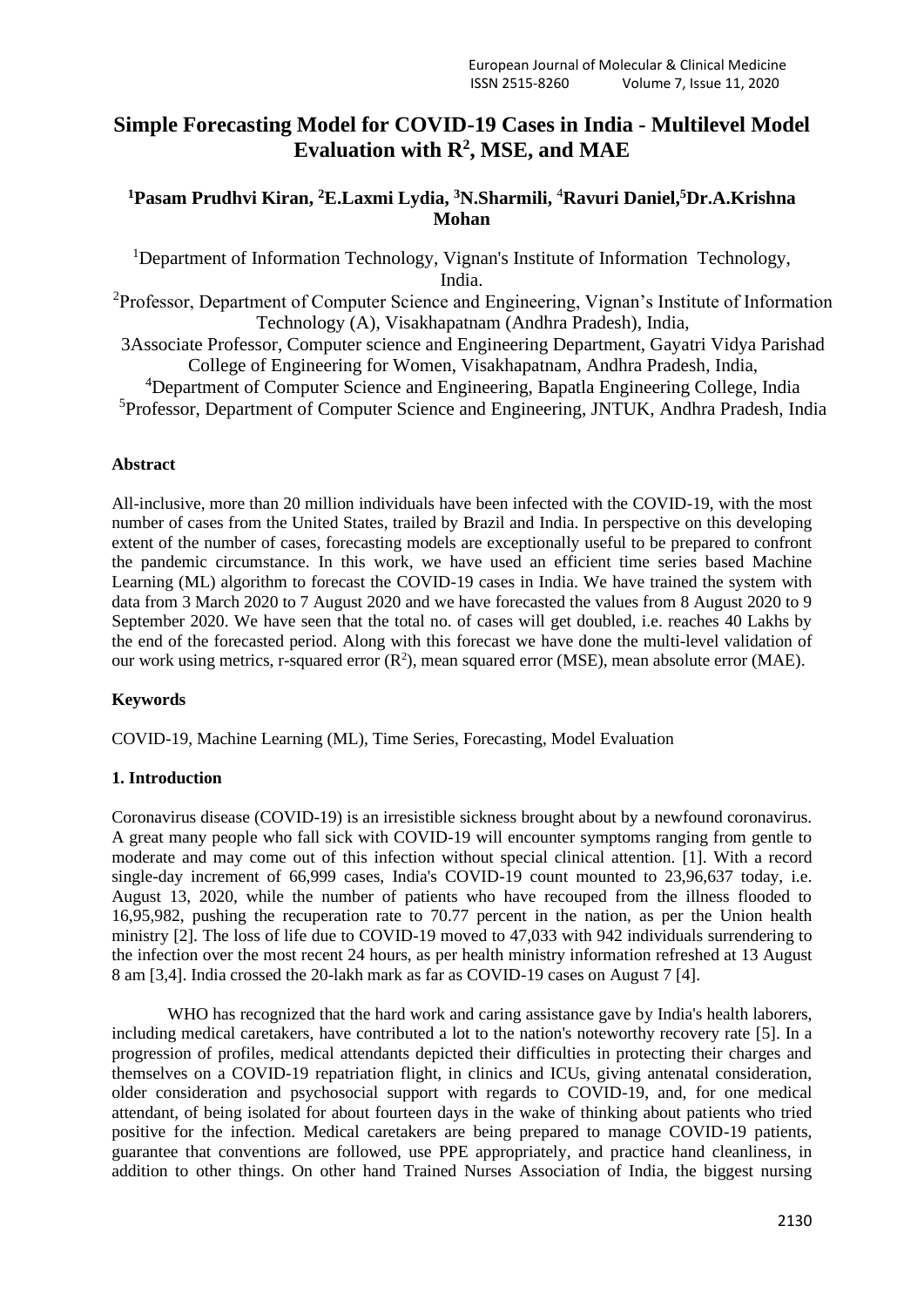# **Simple Forecasting Model for COVID-19 Cases in India - Multilevel Model Evaluation with R<sup>2</sup> , MSE, and MAE**

## **<sup>1</sup>Pasam Prudhvi Kiran, <sup>2</sup>E.Laxmi Lydia, <sup>3</sup>N.Sharmili,** <sup>4</sup>**Ravuri Daniel, <sup>5</sup>Dr.A.Krishna Mohan**

<sup>1</sup>Department of Information Technology, Vignan's Institute of Information Technology, India.

<sup>2</sup>Professor, Department of Computer Science and Engineering, Vignan's Institute of Information Technology (A), Visakhapatnam (Andhra Pradesh), India,

3Associate Professor, Computer science and Engineering Department, Gayatri Vidya Parishad College of Engineering for Women, Visakhapatnam, Andhra Pradesh, India,

<sup>4</sup>Department of Computer Science and Engineering, Bapatla Engineering College, India <sup>5</sup>Professor, Department of Computer Science and Engineering, JNTUK, Andhra Pradesh, India

## **Abstract**

All-inclusive, more than 20 million individuals have been infected with the COVID-19, with the most number of cases from the United States, trailed by Brazil and India. In perspective on this developing extent of the number of cases, forecasting models are exceptionally useful to be prepared to confront the pandemic circumstance. In this work, we have used an efficient time series based Machine Learning (ML) algorithm to forecast the COVID-19 cases in India. We have trained the system with data from 3 March 2020 to 7 August 2020 and we have forecasted the values from 8 August 2020 to 9 September 2020. We have seen that the total no. of cases will get doubled, i.e. reaches 40 Lakhs by the end of the forecasted period. Along with this forecast we have done the multi-level validation of our work using metrics, r-squared error  $(R^2)$ , mean squared error (MSE), mean absolute error (MAE).

## **Keywords**

COVID-19, Machine Learning (ML), Time Series, Forecasting, Model Evaluation

## **1. Introduction**

Coronavirus disease (COVID-19) is an irresistible sickness brought about by a newfound coronavirus. A great many people who fall sick with COVID-19 will encounter symptoms ranging from gentle to moderate and may come out of this infection without special clinical attention. [1]. With a record single-day increment of 66,999 cases, India's COVID-19 count mounted to 23,96,637 today, i.e. August 13, 2020, while the number of patients who have recouped from the illness flooded to 16,95,982, pushing the recuperation rate to 70.77 percent in the nation, as per the Union health ministry [2]. The loss of life due to COVID-19 moved to 47,033 with 942 individuals surrendering to the infection over the most recent 24 hours, as per health ministry information refreshed at 13 August 8 am [3,4]. India crossed the 20-lakh mark as far as COVID-19 cases on August 7 [4].

WHO has recognized that the hard work and caring assistance gave by India's health laborers, including medical caretakers, have contributed a lot to the nation's noteworthy recovery rate [5]. In a progression of profiles, medical attendants depicted their difficulties in protecting their charges and themselves on a COVID-19 repatriation flight, in clinics and ICUs, giving antenatal consideration, older consideration and psychosocial support with regards to COVID-19, and, for one medical attendant, of being isolated for about fourteen days in the wake of thinking about patients who tried positive for the infection. Medical caretakers are being prepared to manage COVID-19 patients, guarantee that conventions are followed, use PPE appropriately, and practice hand cleanliness, in addition to other things. On other hand Trained Nurses Association of India, the biggest nursing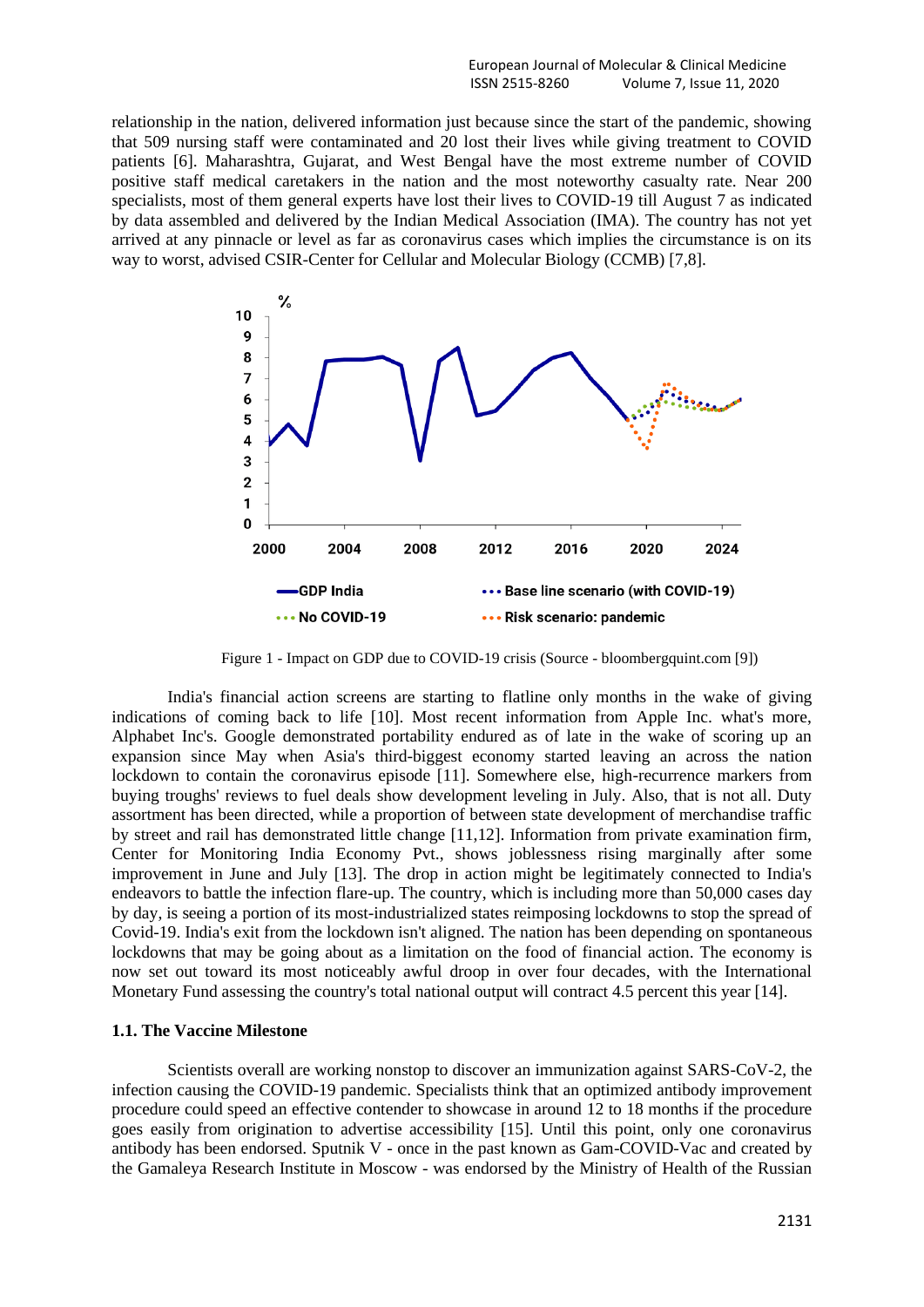relationship in the nation, delivered information just because since the start of the pandemic, showing that 509 nursing staff were contaminated and 20 lost their lives while giving treatment to COVID patients [6]. Maharashtra, Gujarat, and West Bengal have the most extreme number of COVID positive staff medical caretakers in the nation and the most noteworthy casualty rate. Near 200 specialists, most of them general experts have lost their lives to COVID-19 till August 7 as indicated by data assembled and delivered by the Indian Medical Association (IMA). The country has not yet arrived at any pinnacle or level as far as coronavirus cases which implies the circumstance is on its way to worst, advised CSIR-Center for Cellular and Molecular Biology (CCMB) [7,8].



Figure 1 - Impact on GDP due to COVID-19 crisis (Source - bloombergquint.com [9])

India's financial action screens are starting to flatline only months in the wake of giving indications of coming back to life [10]. Most recent information from Apple Inc. what's more, Alphabet Inc's. Google demonstrated portability endured as of late in the wake of scoring up an expansion since May when Asia's third-biggest economy started leaving an across the nation lockdown to contain the coronavirus episode [11]. Somewhere else, high-recurrence markers from buying troughs' reviews to fuel deals show development leveling in July. Also, that is not all. Duty assortment has been directed, while a proportion of between state development of merchandise traffic by street and rail has demonstrated little change [11,12]. Information from private examination firm, Center for Monitoring India Economy Pvt., shows joblessness rising marginally after some improvement in June and July [13]. The drop in action might be legitimately connected to India's endeavors to battle the infection flare-up. The country, which is including more than 50,000 cases day by day, is seeing a portion of its most-industrialized states reimposing lockdowns to stop the spread of Covid-19. India's exit from the lockdown isn't aligned. The nation has been depending on spontaneous lockdowns that may be going about as a limitation on the food of financial action. The economy is now set out toward its most noticeably awful droop in over four decades, with the International Monetary Fund assessing the country's total national output will contract 4.5 percent this year [14].

### **1.1. The Vaccine Milestone**

Scientists overall are working nonstop to discover an immunization against SARS-CoV-2, the infection causing the COVID-19 pandemic. Specialists think that an optimized antibody improvement procedure could speed an effective contender to showcase in around 12 to 18 months if the procedure goes easily from origination to advertise accessibility [15]. Until this point, only one coronavirus antibody has been endorsed. Sputnik V - once in the past known as Gam-COVID-Vac and created by the Gamaleya Research Institute in Moscow - was endorsed by the Ministry of Health of the Russian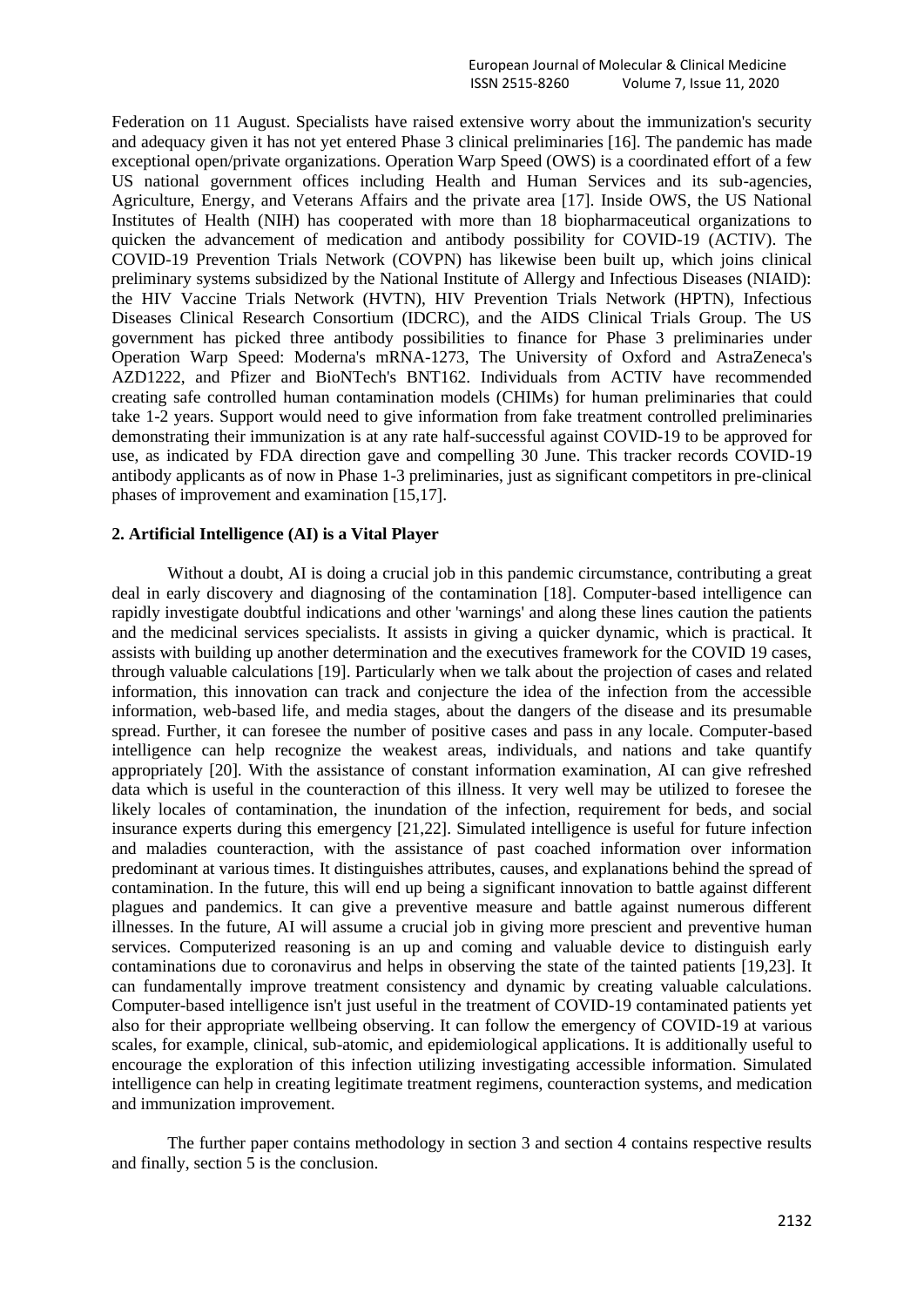Federation on 11 August. Specialists have raised extensive worry about the immunization's security and adequacy given it has not yet entered Phase 3 clinical preliminaries [16]. The pandemic has made exceptional open/private organizations. Operation Warp Speed (OWS) is a coordinated effort of a few US national government offices including Health and Human Services and its sub-agencies, Agriculture, Energy, and Veterans Affairs and the private area [17]. Inside OWS, the US National Institutes of Health (NIH) has cooperated with more than 18 biopharmaceutical organizations to quicken the advancement of medication and antibody possibility for COVID-19 (ACTIV). The COVID-19 Prevention Trials Network (COVPN) has likewise been built up, which joins clinical preliminary systems subsidized by the National Institute of Allergy and Infectious Diseases (NIAID): the HIV Vaccine Trials Network (HVTN), HIV Prevention Trials Network (HPTN), Infectious Diseases Clinical Research Consortium (IDCRC), and the AIDS Clinical Trials Group. The US government has picked three antibody possibilities to finance for Phase 3 preliminaries under Operation Warp Speed: Moderna's mRNA-1273, The University of Oxford and AstraZeneca's AZD1222, and Pfizer and BioNTech's BNT162. Individuals from ACTIV have recommended creating safe controlled human contamination models (CHIMs) for human preliminaries that could take 1-2 years. Support would need to give information from fake treatment controlled preliminaries demonstrating their immunization is at any rate half-successful against COVID-19 to be approved for use, as indicated by FDA direction gave and compelling 30 June. This tracker records COVID-19 antibody applicants as of now in Phase 1-3 preliminaries, just as significant competitors in pre-clinical phases of improvement and examination [15,17].

### **2. Artificial Intelligence (AI) is a Vital Player**

Without a doubt, AI is doing a crucial job in this pandemic circumstance, contributing a great deal in early discovery and diagnosing of the contamination [18]. Computer-based intelligence can rapidly investigate doubtful indications and other 'warnings' and along these lines caution the patients and the medicinal services specialists. It assists in giving a quicker dynamic, which is practical. It assists with building up another determination and the executives framework for the COVID 19 cases, through valuable calculations [19]. Particularly when we talk about the projection of cases and related information, this innovation can track and conjecture the idea of the infection from the accessible information, web-based life, and media stages, about the dangers of the disease and its presumable spread. Further, it can foresee the number of positive cases and pass in any locale. Computer-based intelligence can help recognize the weakest areas, individuals, and nations and take quantify appropriately [20]. With the assistance of constant information examination, AI can give refreshed data which is useful in the counteraction of this illness. It very well may be utilized to foresee the likely locales of contamination, the inundation of the infection, requirement for beds, and social insurance experts during this emergency [21,22]. Simulated intelligence is useful for future infection and maladies counteraction, with the assistance of past coached information over information predominant at various times. It distinguishes attributes, causes, and explanations behind the spread of contamination. In the future, this will end up being a significant innovation to battle against different plagues and pandemics. It can give a preventive measure and battle against numerous different illnesses. In the future, AI will assume a crucial job in giving more prescient and preventive human services. Computerized reasoning is an up and coming and valuable device to distinguish early contaminations due to coronavirus and helps in observing the state of the tainted patients [19,23]. It can fundamentally improve treatment consistency and dynamic by creating valuable calculations. Computer-based intelligence isn't just useful in the treatment of COVID-19 contaminated patients yet also for their appropriate wellbeing observing. It can follow the emergency of COVID-19 at various scales, for example, clinical, sub-atomic, and epidemiological applications. It is additionally useful to encourage the exploration of this infection utilizing investigating accessible information. Simulated intelligence can help in creating legitimate treatment regimens, counteraction systems, and medication and immunization improvement.

The further paper contains methodology in section 3 and section 4 contains respective results and finally, section 5 is the conclusion.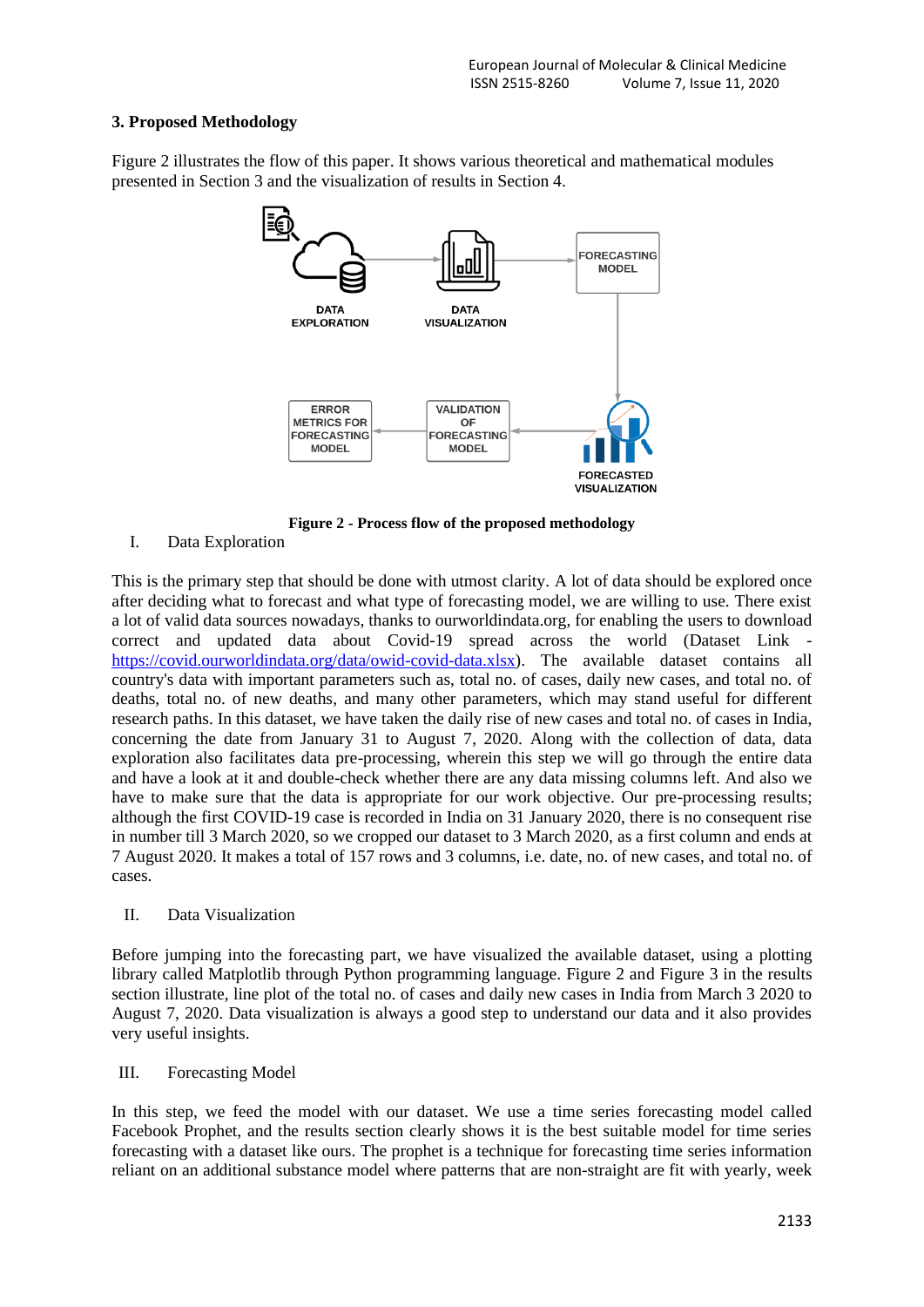## **3. Proposed Methodology**

Figure 2 illustrates the flow of this paper. It shows various theoretical and mathematical modules presented in Section 3 and the visualization of results in Section 4.



**Figure 2 - Process flow of the proposed methodology**

I. Data Exploration

This is the primary step that should be done with utmost clarity. A lot of data should be explored once after deciding what to forecast and what type of forecasting model, we are willing to use. There exist a lot of valid data sources nowadays, thanks to ourworldindata.org, for enabling the users to download correct and updated data about Covid-19 spread across the world (Dataset Link [https://covid.ourworldindata.org/data/owid-covid-data.xlsx\)](https://covid.ourworldindata.org/data/owid-covid-data.xlsx). The available dataset contains all country's data with important parameters such as, total no. of cases, daily new cases, and total no. of deaths, total no. of new deaths, and many other parameters, which may stand useful for different research paths. In this dataset, we have taken the daily rise of new cases and total no. of cases in India, concerning the date from January 31 to August 7, 2020. Along with the collection of data, data exploration also facilitates data pre-processing, wherein this step we will go through the entire data and have a look at it and double-check whether there are any data missing columns left. And also we have to make sure that the data is appropriate for our work objective. Our pre-processing results; although the first COVID-19 case is recorded in India on 31 January 2020, there is no consequent rise in number till 3 March 2020, so we cropped our dataset to 3 March 2020, as a first column and ends at 7 August 2020. It makes a total of 157 rows and 3 columns, i.e. date, no. of new cases, and total no. of cases.

## II. Data Visualization

Before jumping into the forecasting part, we have visualized the available dataset, using a plotting library called Matplotlib through Python programming language. Figure 2 and Figure 3 in the results section illustrate, line plot of the total no. of cases and daily new cases in India from March 3 2020 to August 7, 2020. Data visualization is always a good step to understand our data and it also provides very useful insights.

III. Forecasting Model

In this step, we feed the model with our dataset. We use a time series forecasting model called Facebook Prophet, and the results section clearly shows it is the best suitable model for time series forecasting with a dataset like ours. The prophet is a technique for forecasting time series information reliant on an additional substance model where patterns that are non-straight are fit with yearly, week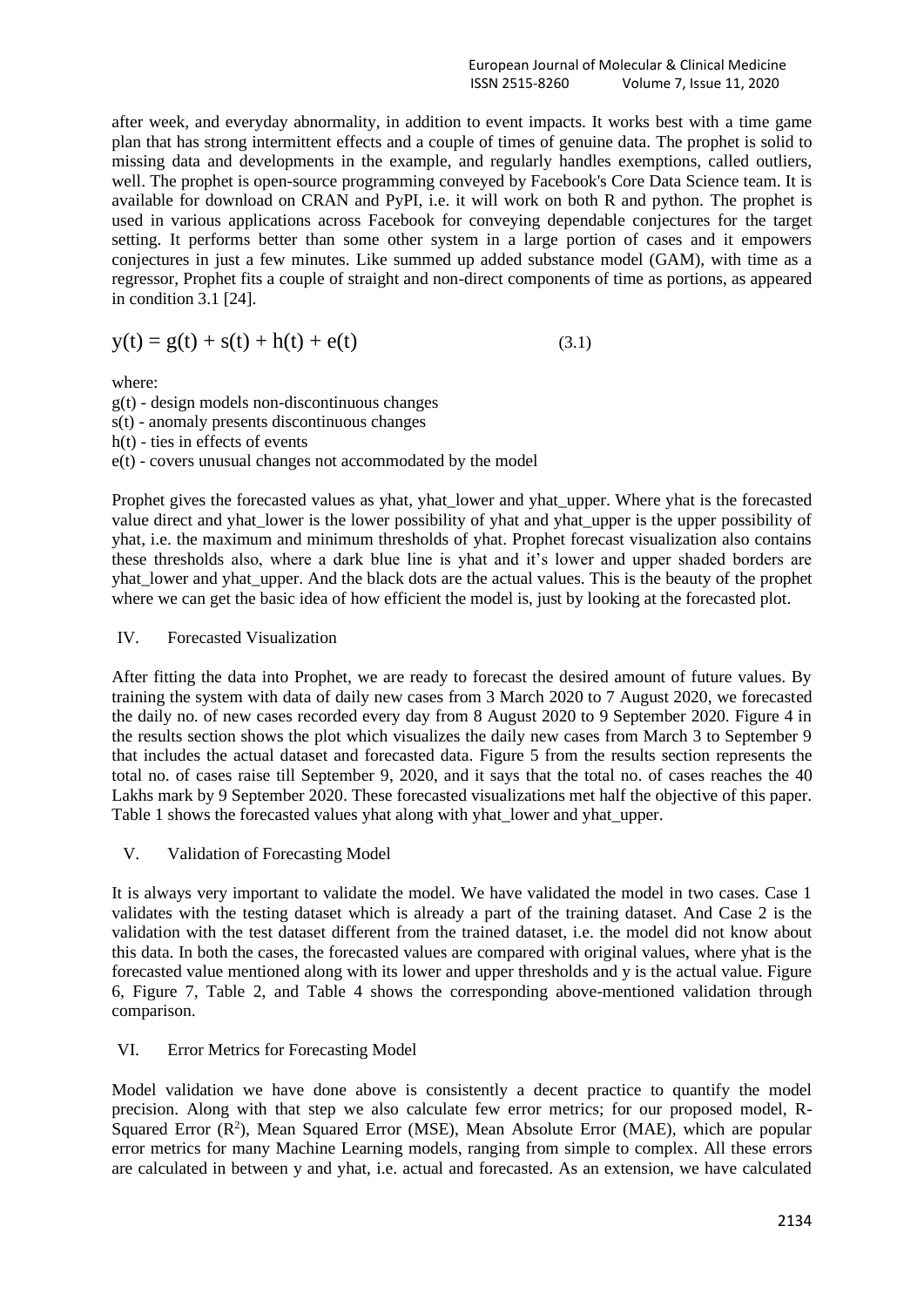European Journal of Molecular & Clinical Medicine ISSN 2515-8260 Volume 7, Issue 11, 2020

after week, and everyday abnormality, in addition to event impacts. It works best with a time game plan that has strong intermittent effects and a couple of times of genuine data. The prophet is solid to missing data and developments in the example, and regularly handles exemptions, called outliers, well. The prophet is open-source programming conveyed by Facebook's Core Data Science team. It is available for download on CRAN and PyPI, i.e. it will work on both R and python. The prophet is used in various applications across Facebook for conveying dependable conjectures for the target setting. It performs better than some other system in a large portion of cases and it empowers conjectures in just a few minutes. Like summed up added substance model (GAM), with time as a regressor, Prophet fits a couple of straight and non-direct components of time as portions, as appeared in condition 3.1 [24].

$$
y(t) = g(t) + s(t) + h(t) + e(t)
$$
\n(3.1)

where:

g(t) - design models non-discontinuous changes s(t) - anomaly presents discontinuous changes h(t) - ties in effects of events e(t) - covers unusual changes not accommodated by the model

Prophet gives the forecasted values as yhat, yhat\_lower and yhat\_upper. Where yhat is the forecasted value direct and yhat\_lower is the lower possibility of yhat and yhat\_upper is the upper possibility of yhat, i.e. the maximum and minimum thresholds of yhat. Prophet forecast visualization also contains these thresholds also, where a dark blue line is yhat and it's lower and upper shaded borders are yhat lower and yhat upper. And the black dots are the actual values. This is the beauty of the prophet where we can get the basic idea of how efficient the model is, just by looking at the forecasted plot.

## IV. Forecasted Visualization

After fitting the data into Prophet, we are ready to forecast the desired amount of future values. By training the system with data of daily new cases from 3 March 2020 to 7 August 2020, we forecasted the daily no. of new cases recorded every day from 8 August 2020 to 9 September 2020. Figure 4 in the results section shows the plot which visualizes the daily new cases from March 3 to September 9 that includes the actual dataset and forecasted data. Figure 5 from the results section represents the total no. of cases raise till September 9, 2020, and it says that the total no. of cases reaches the 40 Lakhs mark by 9 September 2020. These forecasted visualizations met half the objective of this paper. Table 1 shows the forecasted values yhat along with yhat\_lower and yhat\_upper.

V. Validation of Forecasting Model

It is always very important to validate the model. We have validated the model in two cases. Case 1 validates with the testing dataset which is already a part of the training dataset. And Case 2 is the validation with the test dataset different from the trained dataset, i.e. the model did not know about this data. In both the cases, the forecasted values are compared with original values, where yhat is the forecasted value mentioned along with its lower and upper thresholds and y is the actual value. Figure 6, Figure 7, Table 2, and Table 4 shows the corresponding above-mentioned validation through comparison.

#### VI. Error Metrics for Forecasting Model

Model validation we have done above is consistently a decent practice to quantify the model precision. Along with that step we also calculate few error metrics; for our proposed model, R-Squared Error  $(R^2)$ , Mean Squared Error (MSE), Mean Absolute Error (MAE), which are popular error metrics for many Machine Learning models, ranging from simple to complex. All these errors are calculated in between y and yhat, i.e. actual and forecasted. As an extension, we have calculated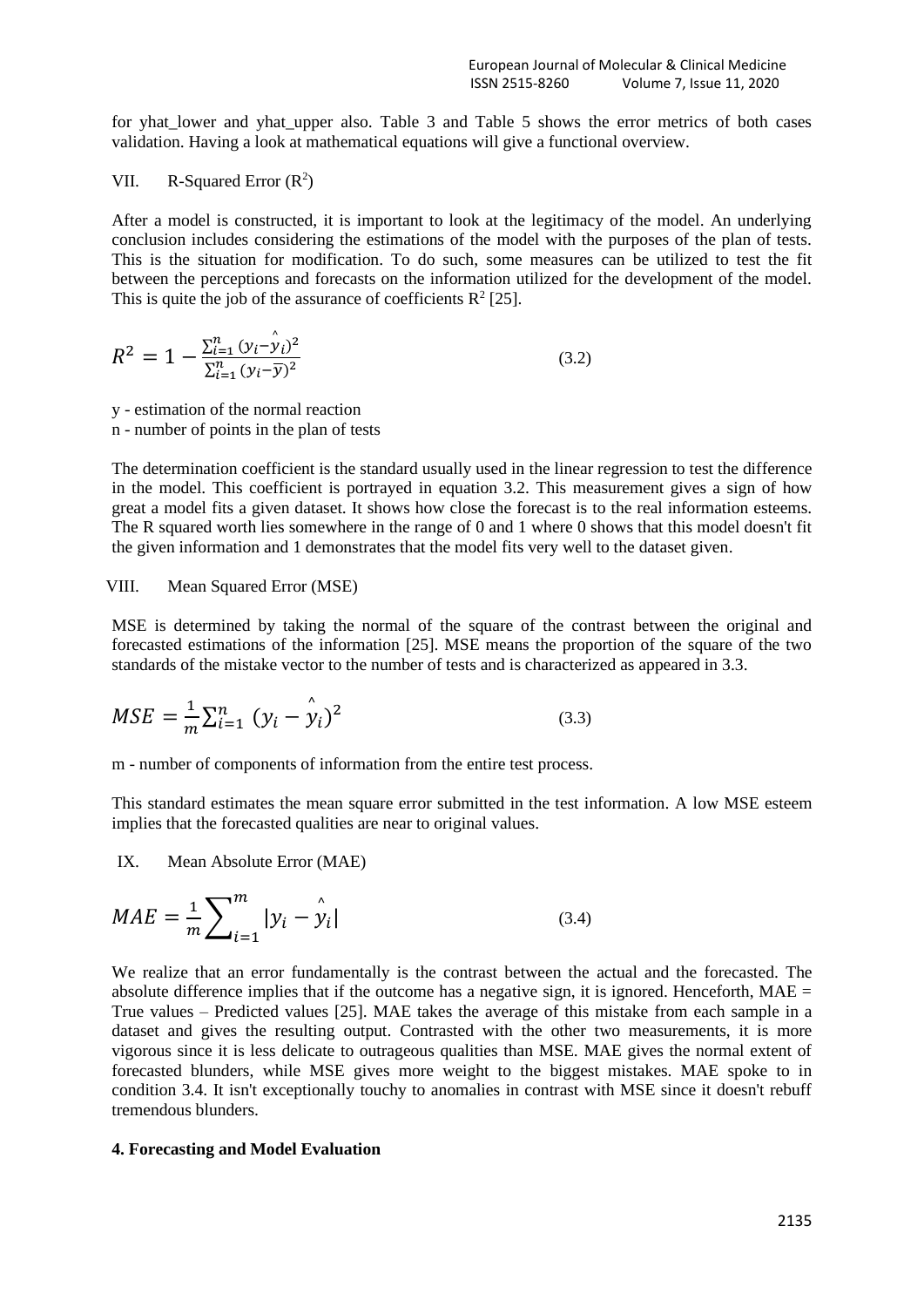for yhat\_lower and yhat\_upper also. Table 3 and Table 5 shows the error metrics of both cases validation. Having a look at mathematical equations will give a functional overview.

VII. R-Squared Error 
$$
(R^2)
$$

After a model is constructed, it is important to look at the legitimacy of the model. An underlying conclusion includes considering the estimations of the model with the purposes of the plan of tests. This is the situation for modification. To do such, some measures can be utilized to test the fit between the perceptions and forecasts on the information utilized for the development of the model. This is quite the job of the assurance of coefficients  $\mathbb{R}^2$  [25].

$$
R^{2} = 1 - \frac{\sum_{i=1}^{n} (y_{i} - \hat{y}_{i})^{2}}{\sum_{i=1}^{n} (y_{i} - \overline{y})^{2}}
$$
(3.2)

y - estimation of the normal reaction

n - number of points in the plan of tests

The determination coefficient is the standard usually used in the linear regression to test the difference in the model. This coefficient is portrayed in equation 3.2. This measurement gives a sign of how great a model fits a given dataset. It shows how close the forecast is to the real information esteems. The R squared worth lies somewhere in the range of 0 and 1 where 0 shows that this model doesn't fit the given information and 1 demonstrates that the model fits very well to the dataset given.

### VIII. Mean Squared Error (MSE)

MSE is determined by taking the normal of the square of the contrast between the original and forecasted estimations of the information [25]. MSE means the proportion of the square of the two standards of the mistake vector to the number of tests and is characterized as appeared in 3.3.

$$
MSE = \frac{1}{m} \sum_{i=1}^{n} (y_i - \hat{y}_i)^2
$$
 (3.3)

m - number of components of information from the entire test process.

This standard estimates the mean square error submitted in the test information. A low MSE esteem implies that the forecasted qualities are near to original values.

IX. Mean Absolute Error (MAE)

$$
MAE = \frac{1}{m} \sum_{i=1}^{m} |y_i - \hat{y}_i|
$$
 (3.4)

We realize that an error fundamentally is the contrast between the actual and the forecasted. The absolute difference implies that if the outcome has a negative sign, it is ignored. Henceforth,  $MAE =$ True values – Predicted values [25]. MAE takes the average of this mistake from each sample in a dataset and gives the resulting output. Contrasted with the other two measurements, it is more vigorous since it is less delicate to outrageous qualities than MSE. MAE gives the normal extent of forecasted blunders, while MSE gives more weight to the biggest mistakes. MAE spoke to in condition 3.4. It isn't exceptionally touchy to anomalies in contrast with MSE since it doesn't rebuff tremendous blunders.

#### **4. Forecasting and Model Evaluation**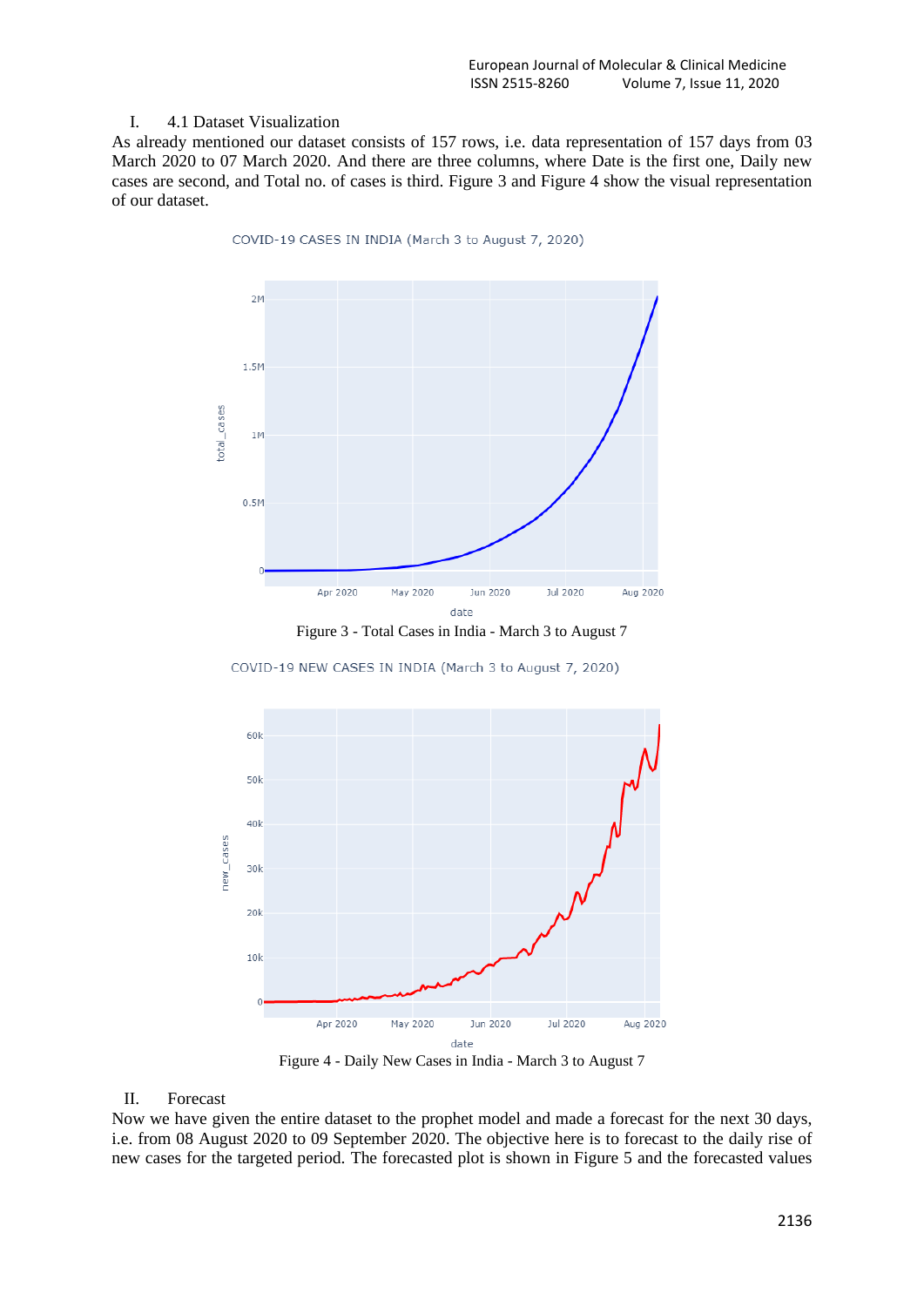#### I. 4.1 Dataset Visualization

As already mentioned our dataset consists of 157 rows, i.e. data representation of 157 days from 03 March 2020 to 07 March 2020. And there are three columns, where Date is the first one, Daily new cases are second, and Total no. of cases is third. Figure 3 and Figure 4 show the visual representation of our dataset.

COVID-19 CASES IN INDIA (March 3 to August 7, 2020)



Figure 3 - Total Cases in India - March 3 to August 7

COVID-19 NEW CASES IN INDIA (March 3 to August 7, 2020)



Figure 4 - Daily New Cases in India - March 3 to August 7

### II. Forecast

Now we have given the entire dataset to the prophet model and made a forecast for the next 30 days, i.e. from 08 August 2020 to 09 September 2020. The objective here is to forecast to the daily rise of new cases for the targeted period. The forecasted plot is shown in Figure 5 and the forecasted values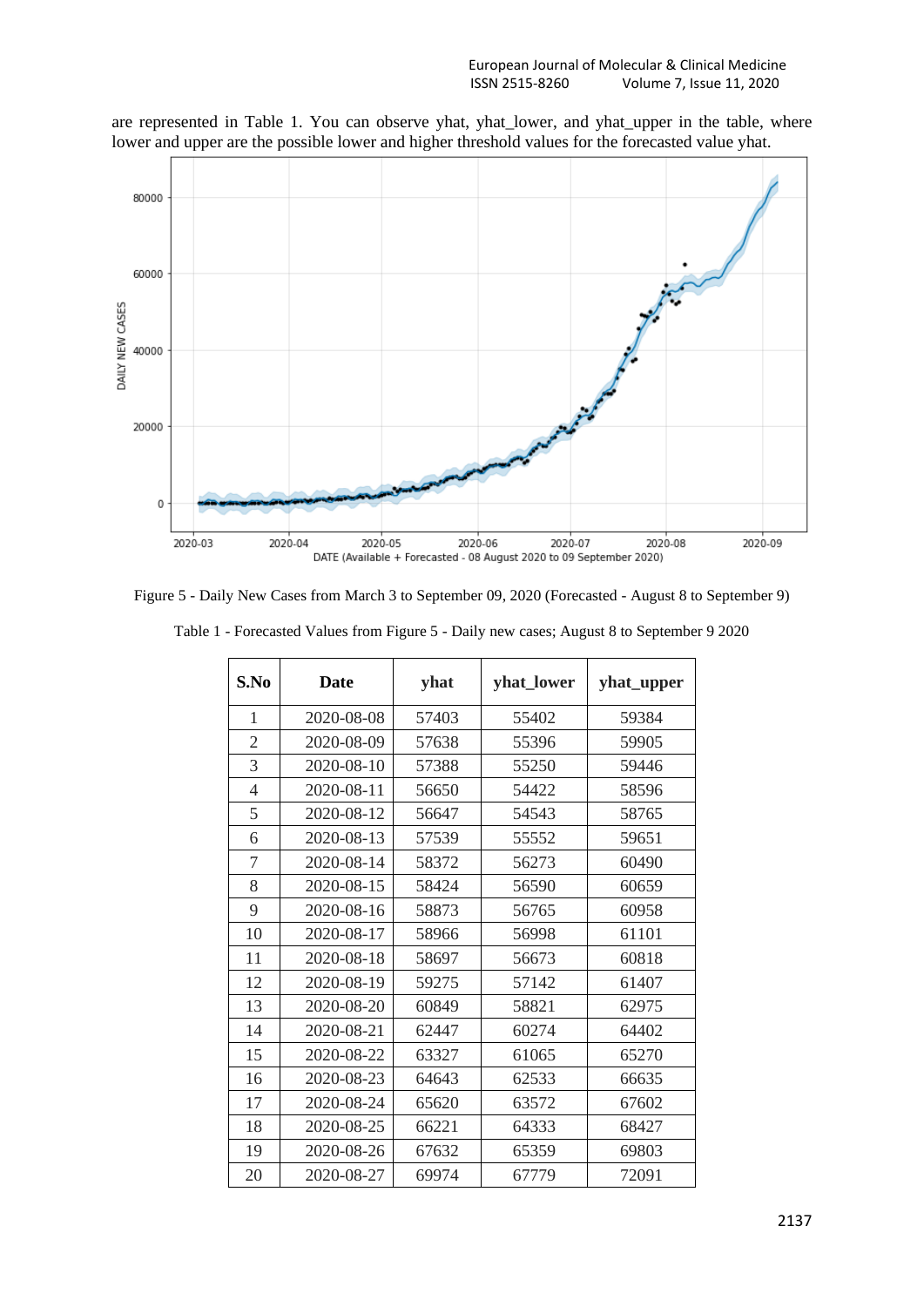are represented in Table 1. You can observe yhat, yhat\_lower, and yhat\_upper in the table, where lower and upper are the possible lower and higher threshold values for the forecasted value yhat.



Figure 5 - Daily New Cases from March 3 to September 09, 2020 (Forecasted - August 8 to September 9)

| S.No           | <b>Date</b> | yhat  | yhat_lower | yhat_upper |
|----------------|-------------|-------|------------|------------|
| 1              | 2020-08-08  | 57403 | 55402      | 59384      |
| $\overline{2}$ | 2020-08-09  | 57638 | 55396      | 59905      |
| 3              | 2020-08-10  | 57388 | 55250      | 59446      |
| $\overline{4}$ | 2020-08-11  | 56650 | 54422      | 58596      |
| 5              | 2020-08-12  | 56647 | 54543      | 58765      |
| 6              | 2020-08-13  | 57539 | 55552      | 59651      |
| 7              | 2020-08-14  | 58372 | 56273      | 60490      |
| 8              | 2020-08-15  | 58424 | 56590      | 60659      |
| 9              | 2020-08-16  | 58873 | 56765      | 60958      |
| 10             | 2020-08-17  | 58966 | 56998      | 61101      |
| 11             | 2020-08-18  | 58697 | 56673      | 60818      |
| 12             | 2020-08-19  | 59275 | 57142      | 61407      |
| 13             | 2020-08-20  | 60849 | 58821      | 62975      |
| 14             | 2020-08-21  | 62447 | 60274      | 64402      |
| 15             | 2020-08-22  | 63327 | 61065      | 65270      |
| 16             | 2020-08-23  | 64643 | 62533      | 66635      |
| 17             | 2020-08-24  | 65620 | 63572      | 67602      |
| 18             | 2020-08-25  | 66221 | 64333      | 68427      |
| 19             | 2020-08-26  | 67632 | 65359      | 69803      |
| 20             | 2020-08-27  | 69974 | 67779      | 72091      |

Table 1 - Forecasted Values from Figure 5 - Daily new cases; August 8 to September 9 2020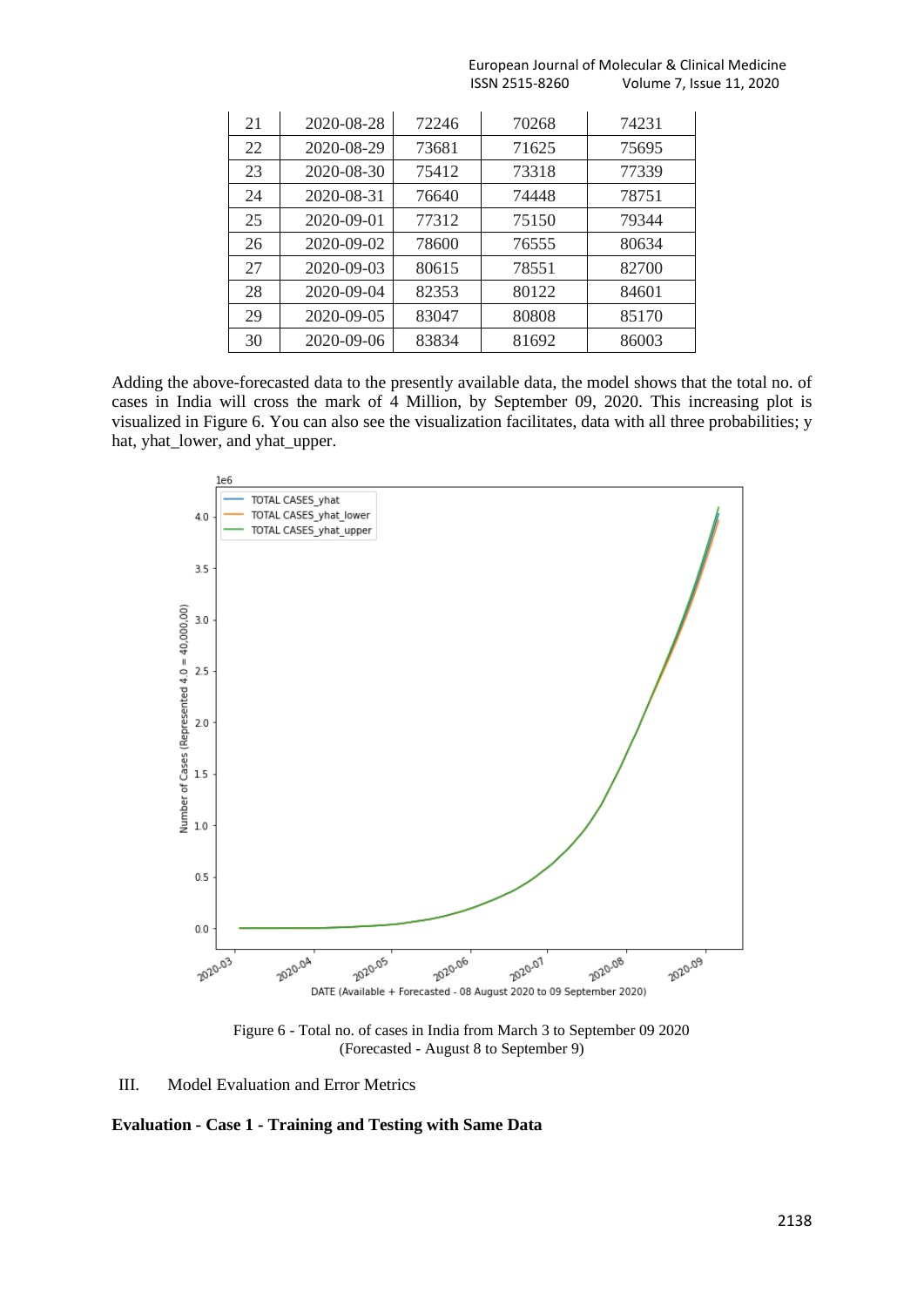| 21 | 2020-08-28 | 72246 | 70268 | 74231 |
|----|------------|-------|-------|-------|
| 22 | 2020-08-29 | 73681 | 71625 | 75695 |
| 23 | 2020-08-30 | 75412 | 73318 | 77339 |
| 24 | 2020-08-31 | 76640 | 74448 | 78751 |
| 25 | 2020-09-01 | 77312 | 75150 | 79344 |
| 26 | 2020-09-02 | 78600 | 76555 | 80634 |
| 27 | 2020-09-03 | 80615 | 78551 | 82700 |
| 28 | 2020-09-04 | 82353 | 80122 | 84601 |
| 29 | 2020-09-05 | 83047 | 80808 | 85170 |
| 30 | 2020-09-06 | 83834 | 81692 | 86003 |

 European Journal of Molecular & Clinical Medicine ISSN 2515-8260 Volume 7, Issue 11, 2020

Adding the above-forecasted data to the presently available data, the model shows that the total no. of cases in India will cross the mark of 4 Million, by September 09, 2020. This increasing plot is visualized in Figure 6. You can also see the visualization facilitates, data with all three probabilities; y hat, yhat\_lower, and yhat\_upper.



Figure 6 - Total no. of cases in India from March 3 to September 09 2020 (Forecasted - August 8 to September 9)

III. Model Evaluation and Error Metrics

**Evaluation - Case 1 - Training and Testing with Same Data**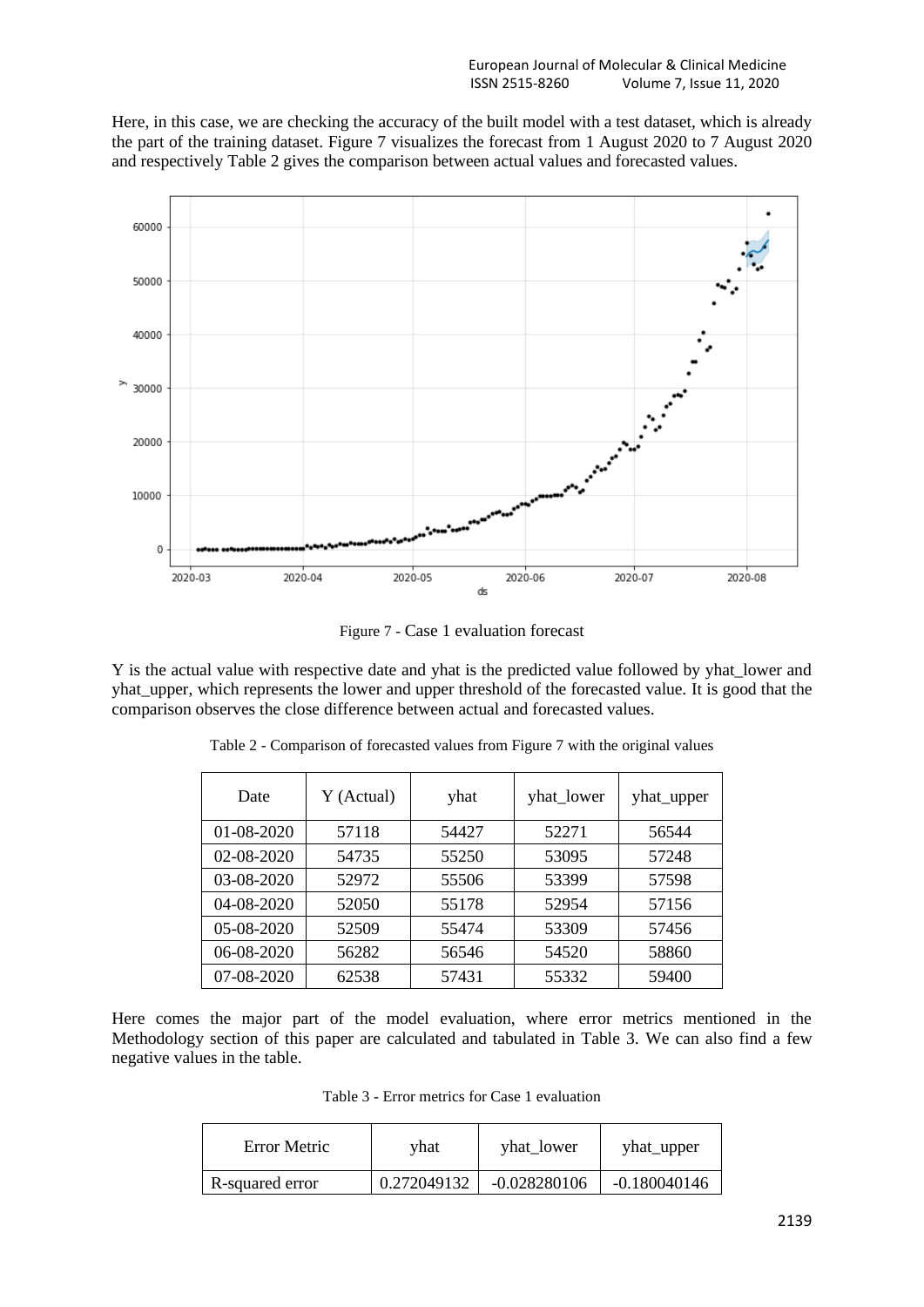Here, in this case, we are checking the accuracy of the built model with a test dataset, which is already the part of the training dataset. Figure 7 visualizes the forecast from 1 August 2020 to 7 August 2020 and respectively Table 2 gives the comparison between actual values and forecasted values.



Figure 7 - Case 1 evaluation forecast

Y is the actual value with respective date and yhat is the predicted value followed by yhat lower and yhat upper, which represents the lower and upper threshold of the forecasted value. It is good that the comparison observes the close difference between actual and forecasted values.

| Date       | Y (Actual) | yhat  | yhat_lower | yhat_upper |
|------------|------------|-------|------------|------------|
| 01-08-2020 | 57118      | 54427 | 52271      | 56544      |
| 02-08-2020 | 54735      | 55250 | 53095      | 57248      |
| 03-08-2020 | 52972      | 55506 | 53399      | 57598      |
| 04-08-2020 | 52050      | 55178 | 52954      | 57156      |
| 05-08-2020 | 52509      | 55474 | 53309      | 57456      |
| 06-08-2020 | 56282      | 56546 | 54520      | 58860      |
| 07-08-2020 | 62538      | 57431 | 55332      | 59400      |

Table 2 - Comparison of forecasted values from Figure 7 with the original values

Here comes the major part of the model evaluation, where error metrics mentioned in the Methodology section of this paper are calculated and tabulated in Table 3. We can also find a few negative values in the table.

Table 3 - Error metrics for Case 1 evaluation

| Error Metric    | vhat        | yhat_lower     | yhat_upper     |
|-----------------|-------------|----------------|----------------|
| R-squared error | 0.272049132 | $-0.028280106$ | $-0.180040146$ |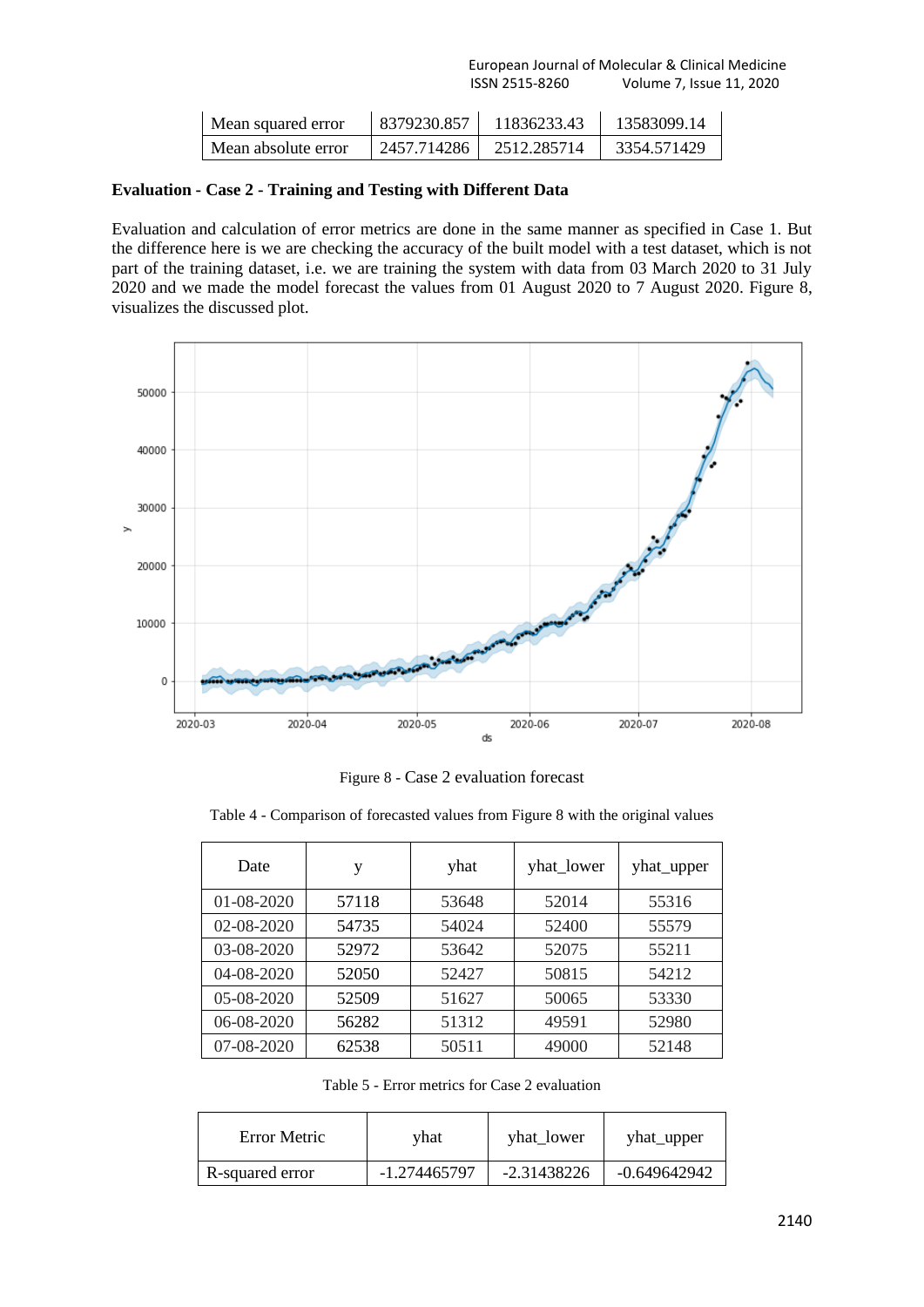| Mean squared error  | 8379230.857 | 11836233.43 | 13583099.14 |
|---------------------|-------------|-------------|-------------|
| Mean absolute error | 2457.714286 | 2512.285714 | 3354.571429 |

## **Evaluation - Case 2 - Training and Testing with Different Data**

Evaluation and calculation of error metrics are done in the same manner as specified in Case 1. But the difference here is we are checking the accuracy of the built model with a test dataset, which is not part of the training dataset, i.e. we are training the system with data from 03 March 2020 to 31 July 2020 and we made the model forecast the values from 01 August 2020 to 7 August 2020. Figure 8, visualizes the discussed plot.



Figure 8 - Case 2 evaluation forecast

Table 4 - Comparison of forecasted values from Figure 8 with the original values

| Date             | у     | yhat  | yhat_lower | yhat_upper |
|------------------|-------|-------|------------|------------|
| $01 - 08 - 2020$ | 57118 | 53648 | 52014      | 55316      |
| 02-08-2020       | 54735 | 54024 | 52400      | 55579      |
| 03-08-2020       | 52972 | 53642 | 52075      | 55211      |
| 04-08-2020       | 52050 | 52427 | 50815      | 54212      |
| 05-08-2020       | 52509 | 51627 | 50065      | 53330      |
| 06-08-2020       | 56282 | 51312 | 49591      | 52980      |
| 07-08-2020       | 62538 | 50511 | 49000      | 52148      |

Table 5 - Error metrics for Case 2 evaluation

| Error Metric    | vhat         | yhat lower  | yhat_upper     |
|-----------------|--------------|-------------|----------------|
| R-squared error | -1.274465797 | -2.31438226 | $-0.649642942$ |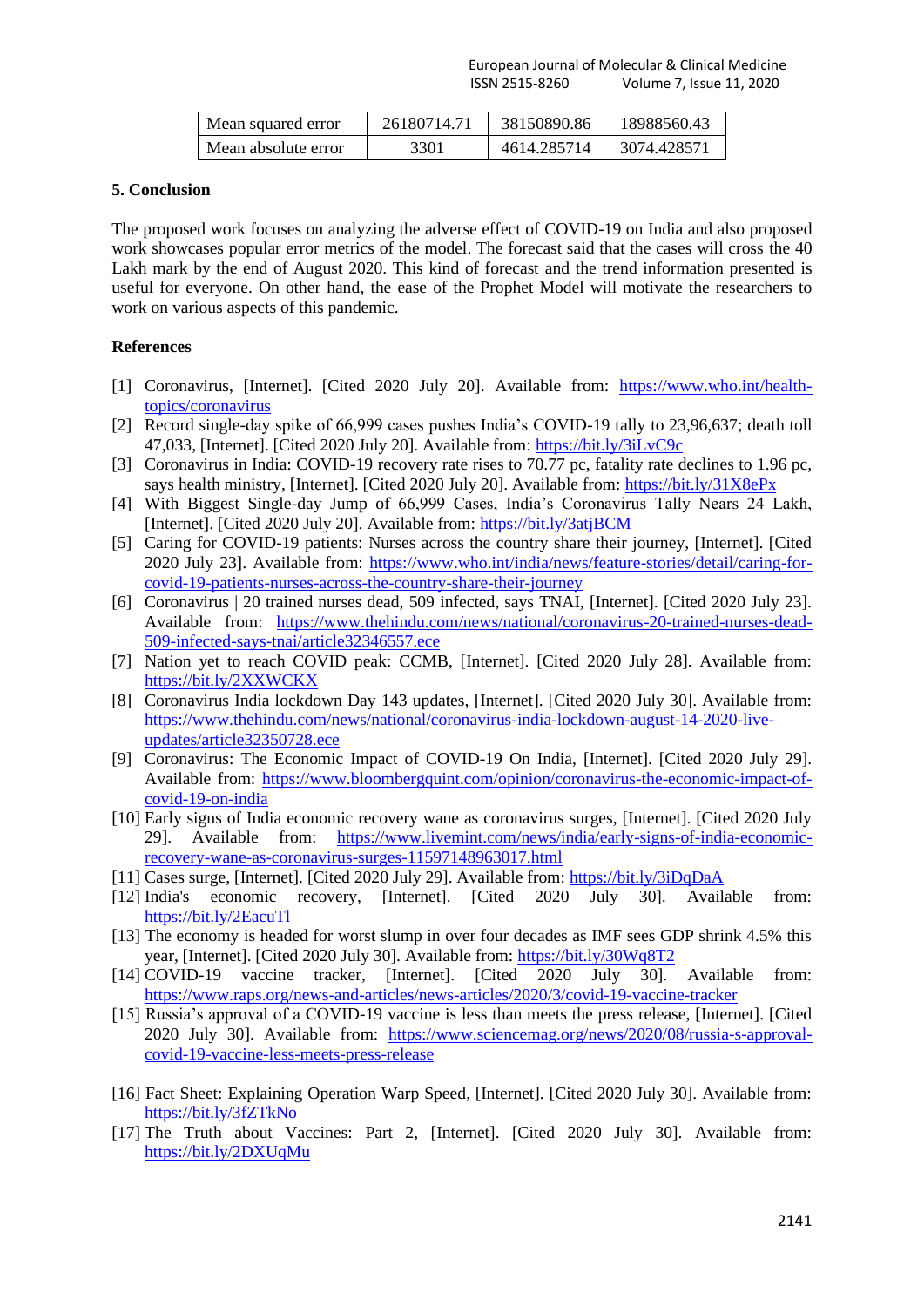| Mean squared error  | 26180714.71 | 38150890.86 | 18988560.43 |
|---------------------|-------------|-------------|-------------|
| Mean absolute error | 3301        | 4614.285714 | 3074.428571 |

## **5. Conclusion**

The proposed work focuses on analyzing the adverse effect of COVID-19 on India and also proposed work showcases popular error metrics of the model. The forecast said that the cases will cross the 40 Lakh mark by the end of August 2020. This kind of forecast and the trend information presented is useful for everyone. On other hand, the ease of the Prophet Model will motivate the researchers to work on various aspects of this pandemic.

#### **References**

- [1] Coronavirus, [Internet]. [Cited 2020 July 20]. Available from: [https://www.who.int/health](https://www.who.int/health-topics/coronavirus)[topics/coronavirus](https://www.who.int/health-topics/coronavirus)
- [2] Record single-day spike of 66,999 cases pushes India's COVID-19 tally to 23,96,637; death toll 47,033, [Internet]. [Cited 2020 July 20]. Available from:<https://bit.ly/3iLvC9c>
- [3] Coronavirus in India: COVID-19 recovery rate rises to 70.77 pc, fatality rate declines to 1.96 pc, says health ministry, [Internet]. [Cited 2020 July 20]. Available from:<https://bit.ly/31X8ePx>
- [4] With Biggest Single-day Jump of 66,999 Cases, India's Coronavirus Tally Nears 24 Lakh, [Internet]. [Cited 2020 July 20]. Available from:<https://bit.ly/3atjBCM>
- [5] Caring for COVID-19 patients: Nurses across the country share their journey, [Internet]. [Cited 2020 July 23]. Available from: [https://www.who.int/india/news/feature-stories/detail/caring-for](https://www.who.int/india/news/feature-stories/detail/caring-for-covid-19-patients-nurses-across-the-country-share-their-journey)[covid-19-patients-nurses-across-the-country-share-their-journey](https://www.who.int/india/news/feature-stories/detail/caring-for-covid-19-patients-nurses-across-the-country-share-their-journey)
- [6] Coronavirus | 20 trained nurses dead, 509 infected, says TNAI, [Internet]. [Cited 2020 July 23]. Available from: [https://www.thehindu.com/news/national/coronavirus-20-trained-nurses-dead-](https://www.thehindu.com/news/national/coronavirus-20-trained-nurses-dead-509-infected-says-tnai/article32346557.ece)[509-infected-says-tnai/article32346557.ece](https://www.thehindu.com/news/national/coronavirus-20-trained-nurses-dead-509-infected-says-tnai/article32346557.ece)
- [7] Nation yet to reach COVID peak: CCMB, [Internet]. [Cited 2020 July 28]. Available from: <https://bit.ly/2XXWCKX>
- [8] Coronavirus India lockdown Day 143 updates, [Internet]. [Cited 2020 July 30]. Available from: [https://www.thehindu.com/news/national/coronavirus-india-lockdown-august-14-2020-live](https://www.thehindu.com/news/national/coronavirus-india-lockdown-august-14-2020-live-updates/article32350728.ece)[updates/article32350728.ece](https://www.thehindu.com/news/national/coronavirus-india-lockdown-august-14-2020-live-updates/article32350728.ece)
- [9] Coronavirus: The Economic Impact of COVID-19 On India, [Internet]. [Cited 2020 July 29]. Available from: [https://www.bloombergquint.com/opinion/coronavirus-the-economic-impact-of](https://www.bloombergquint.com/opinion/coronavirus-the-economic-impact-of-covid-19-on-india)[covid-19-on-india](https://www.bloombergquint.com/opinion/coronavirus-the-economic-impact-of-covid-19-on-india)
- [10] Early signs of India economic recovery wane as coronavirus surges, [Internet]. [Cited 2020 July 29]. Available from: [https://www.livemint.com/news/india/early-signs-of-india-economic](https://www.livemint.com/news/india/early-signs-of-india-economic-recovery-wane-as-coronavirus-surges-11597148963017.html)[recovery-wane-as-coronavirus-surges-11597148963017.html](https://www.livemint.com/news/india/early-signs-of-india-economic-recovery-wane-as-coronavirus-surges-11597148963017.html)
- [11] Cases surge, [Internet]. [Cited 2020 July 29]. Available from:<https://bit.ly/3iDqDaA>
- [12] India's economic recovery, [Internet]. [Cited 2020 July 30]. Available from: <https://bit.ly/2EacuTl>
- [13] The economy is headed for worst slump in over four decades as IMF sees GDP shrink 4.5% this year, [Internet]. [Cited 2020 July 30]. Available from:<https://bit.ly/30Wq8T2>
- [14] COVID-19 vaccine tracker, [Internet]. [Cited 2020 July 30]. Available from: <https://www.raps.org/news-and-articles/news-articles/2020/3/covid-19-vaccine-tracker>
- [15] Russia's approval of a COVID-19 vaccine is less than meets the press release, [Internet]. [Cited 2020 July 30]. Available from: [https://www.sciencemag.org/news/2020/08/russia-s-approval](https://www.sciencemag.org/news/2020/08/russia-s-approval-covid-19-vaccine-less-meets-press-release)[covid-19-vaccine-less-meets-press-release](https://www.sciencemag.org/news/2020/08/russia-s-approval-covid-19-vaccine-less-meets-press-release)
- [16] Fact Sheet: Explaining Operation Warp Speed, [Internet]. [Cited 2020 July 30]. Available from: <https://bit.ly/3fZTkNo>
- [17] The Truth about Vaccines: Part 2, [Internet]. [Cited 2020 July 30]. Available from: <https://bit.ly/2DXUqMu>